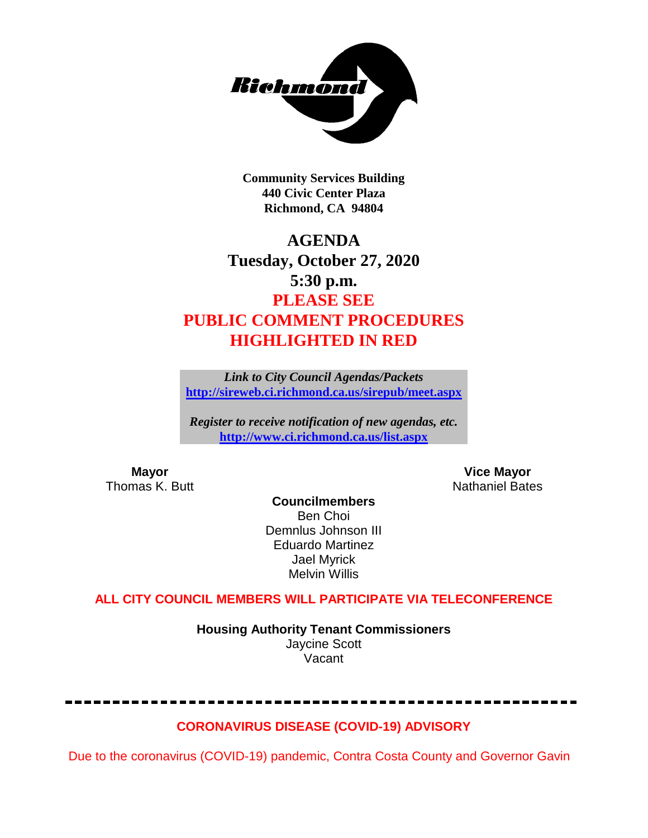

**Community Services Building 440 Civic Center Plaza Richmond, CA 94804**

# **AGENDA Tuesday, October 27, 2020 5:30 p.m. PLEASE SEE PUBLIC COMMENT PROCEDURES HIGHLIGHTED IN RED**

*Link to City Council Agendas/Packets* **<http://sireweb.ci.richmond.ca.us/sirepub/meet.aspx>**

*Register to receive notification of new agendas, etc.* **<http://www.ci.richmond.ca.us/list.aspx>**

**Mayor Mayor Wice Mayor Vice Mayor Vice Mayor Vice Mayor Vice Mayor Vice Mayor Vice Mayor Vice Mayor Vice Mayor Vice Mayor Vice Mayor Vice Mayor Vice Mayor Vice Mayor Vice Mayor Vice Mayor** Nathaniel Bates

**Councilmembers** Ben Choi Demnlus Johnson III Eduardo Martinez Jael Myrick Melvin Willis

# **ALL CITY COUNCIL MEMBERS WILL PARTICIPATE VIA TELECONFERENCE**

**Housing Authority Tenant Commissioners** Jaycine Scott Vacant

# **CORONAVIRUS DISEASE (COVID-19) ADVISORY**

Due to the coronavirus (COVID-19) pandemic, Contra Costa County and Governor Gavin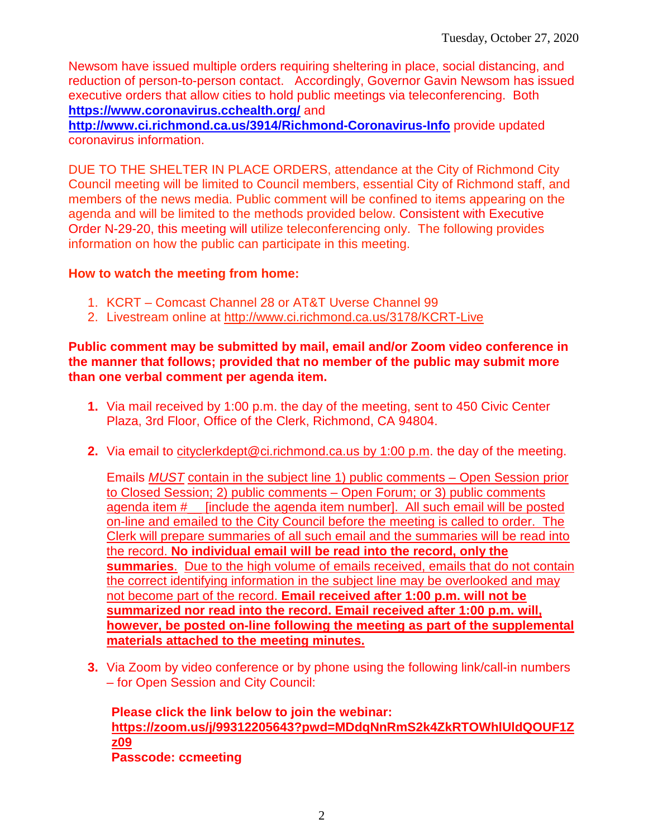Newsom have issued multiple orders requiring sheltering in place, social distancing, and reduction of person-to-person contact. Accordingly, Governor Gavin Newsom has issued executive orders that allow cities to hold public meetings via teleconferencing. Both **<https://www.coronavirus.cchealth.org/>** and

**<http://www.ci.richmond.ca.us/3914/Richmond-Coronavirus-Info>** provide updated coronavirus information.

DUE TO THE SHELTER IN PLACE ORDERS, attendance at the City of Richmond City Council meeting will be limited to Council members, essential City of Richmond staff, and members of the news media. Public comment will be confined to items appearing on the agenda and will be limited to the methods provided below. Consistent with Executive Order N-29-20, this meeting will utilize teleconferencing only. The following provides information on how the public can participate in this meeting.

## **How to watch the meeting from home:**

- 1. KCRT Comcast Channel 28 or AT&T Uverse Channel 99
- 2. Livestream online at<http://www.ci.richmond.ca.us/3178/KCRT-Live>

#### **Public comment may be submitted by mail, email and/or Zoom video conference in the manner that follows; provided that no member of the public may submit more than one verbal comment per agenda item.**

- **1.** Via mail received by 1:00 p.m. the day of the meeting, sent to 450 Civic Center Plaza, 3rd Floor, Office of the Clerk, Richmond, CA 94804.
- **2.** Via email to [cityclerkdept@ci.richmond.ca.us](mailto:cityclerkdept@ci.richmond.ca.us) by 1:00 p.m. the day of the meeting.

Emails *MUST* contain in the subject line 1) public comments – Open Session prior to Closed Session; 2) public comments – Open Forum; or 3) public comments agenda item #\_\_ [include the agenda item number]. All such email will be posted on-line and emailed to the City Council before the meeting is called to order. The Clerk will prepare summaries of all such email and the summaries will be read into the record. **No individual email will be read into the record, only the summaries**. Due to the high volume of emails received, emails that do not contain the correct identifying information in the subject line may be overlooked and may not become part of the record. **Email received after 1:00 p.m. will not be summarized nor read into the record. Email received after 1:00 p.m. will, however, be posted on-line following the meeting as part of the supplemental materials attached to the meeting minutes.**

**3.** Via Zoom by video conference or by phone using the following link/call-in numbers – for Open Session and City Council:

**Please click the link below to join the webinar: [https://zoom.us/j/99312205643?pwd=MDdqNnRmS2k4ZkRTOWhlUldQOUF1Z](https://zoom.us/j/99312205643?pwd=MDdqNnRmS2k4ZkRTOWhlUldQOUF1Zz09) [z09](https://zoom.us/j/99312205643?pwd=MDdqNnRmS2k4ZkRTOWhlUldQOUF1Zz09) Passcode: ccmeeting**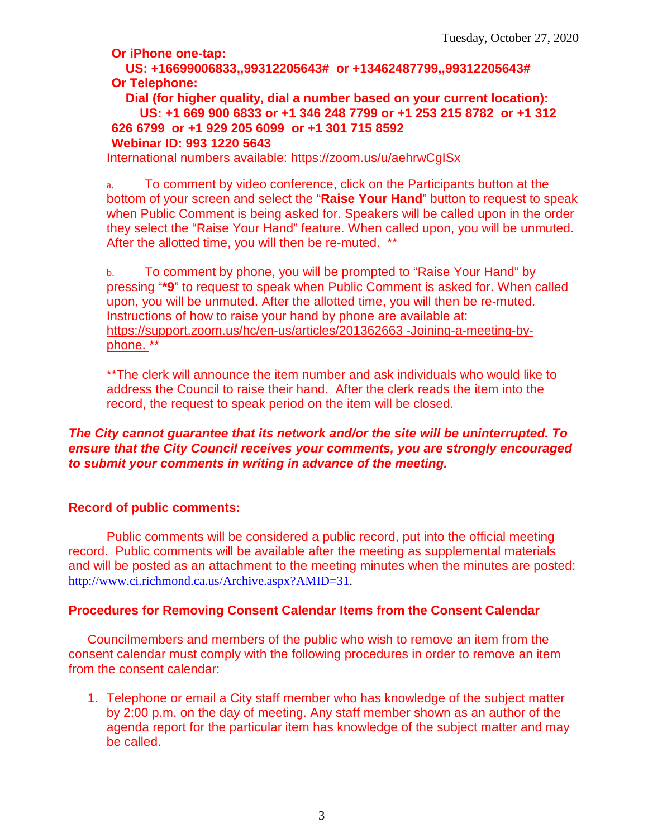**Or iPhone one-tap:**

**US: +16699006833,,99312205643# or +13462487799,,99312205643# Or Telephone:**

**Dial (for higher quality, dial a number based on your current location): US: +1 669 900 6833 or +1 346 248 7799 or +1 253 215 8782 or +1 312 626 6799 or +1 929 205 6099 or +1 301 715 8592 Webinar ID: 993 1220 5643**

International numbers available:<https://zoom.us/u/aehrwCgISx>

a. To comment by video conference, click on the Participants button at the bottom of your screen and select the "**Raise Your Hand**" button to request to speak when Public Comment is being asked for. Speakers will be called upon in the order they select the "Raise Your Hand" feature. When called upon, you will be unmuted. After the allotted time, you will then be re-muted. \*\*

b. To comment by phone, you will be prompted to "Raise Your Hand" by pressing "**\*9**" to request to speak when Public Comment is asked for. When called upon, you will be unmuted. After the allotted time, you will then be re-muted. Instructions of how to raise your hand by phone are available at: [https://support.zoom.us/hc/en-us/articles/201362663 -Joining-a-meeting-by](https://support.zoom.us/hc/en-us/articles/201362663)[phone.](https://support.zoom.us/hc/en-us/articles/201362663) \*\*

\*\*The clerk will announce the item number and ask individuals who would like to address the Council to raise their hand. After the clerk reads the item into the record, the request to speak period on the item will be closed.

#### *The City cannot guarantee that its network and/or the site will be uninterrupted. To ensure that the City Council receives your comments, you are strongly encouraged to submit your comments in writing in advance of the meeting.*

#### **Record of public comments:**

Public comments will be considered a public record, put into the official meeting record. Public comments will be available after the meeting as supplemental materials and will be posted as an attachment to the meeting minutes when the minutes are posted: [http://www.ci.richmond.ca.us/Archive.aspx?AMID=31.](http://www.ci.richmond.ca.us/Archive.aspx?AMID=31)

# **Procedures for Removing Consent Calendar Items from the Consent Calendar**

Councilmembers and members of the public who wish to remove an item from the consent calendar must comply with the following procedures in order to remove an item from the consent calendar:

1. Telephone or email a City staff member who has knowledge of the subject matter by 2:00 p.m. on the day of meeting. Any staff member shown as an author of the agenda report for the particular item has knowledge of the subject matter and may be called.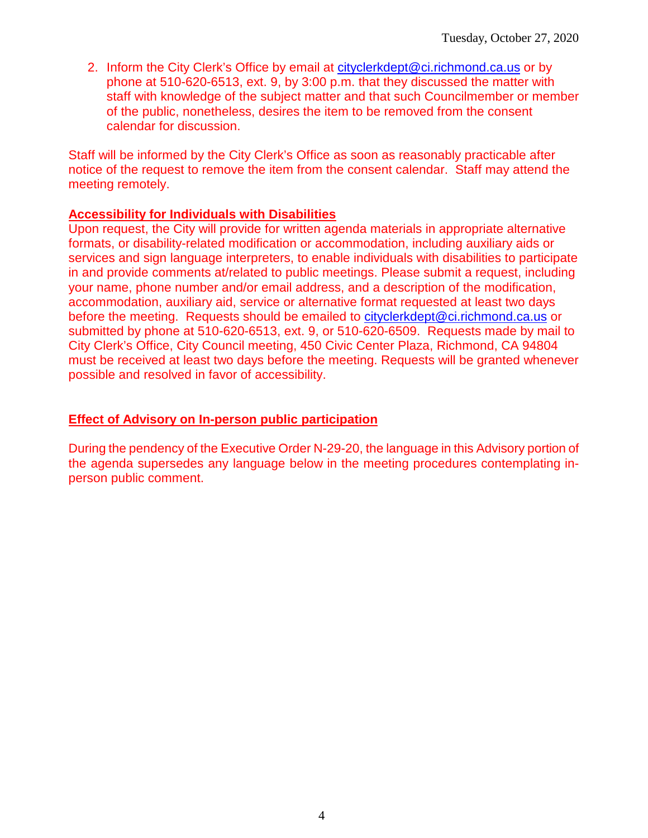2. Inform the City Clerk's Office by email at [cityclerkdept@ci.richmond.ca.us](mailto:cityclerkdept@ci.richmond.ca.us) or by phone at 510-620-6513, ext. 9, by 3:00 p.m. that they discussed the matter with staff with knowledge of the subject matter and that such Councilmember or member of the public, nonetheless, desires the item to be removed from the consent calendar for discussion.

Staff will be informed by the City Clerk's Office as soon as reasonably practicable after notice of the request to remove the item from the consent calendar. Staff may attend the meeting remotely.

#### **Accessibility for Individuals with Disabilities**

Upon request, the City will provide for written agenda materials in appropriate alternative formats, or disability-related modification or accommodation, including auxiliary aids or services and sign language interpreters, to enable individuals with disabilities to participate in and provide comments at/related to public meetings. Please submit a request, including your name, phone number and/or email address, and a description of the modification, accommodation, auxiliary aid, service or alternative format requested at least two days before the meeting. Requests should be emailed to [cityclerkdept@ci.richmond.ca.us](mailto:cityclerkdept@ci.richmond.ca.us) or submitted by phone at 510-620-6513, ext. 9, or 510-620-6509. Requests made by mail to City Clerk's Office, City Council meeting, 450 Civic Center Plaza, Richmond, CA 94804 must be received at least two days before the meeting. Requests will be granted whenever possible and resolved in favor of accessibility.

#### **Effect of Advisory on In-person public participation**

During the pendency of the Executive Order N-29-20, the language in this Advisory portion of the agenda supersedes any language below in the meeting procedures contemplating inperson public comment.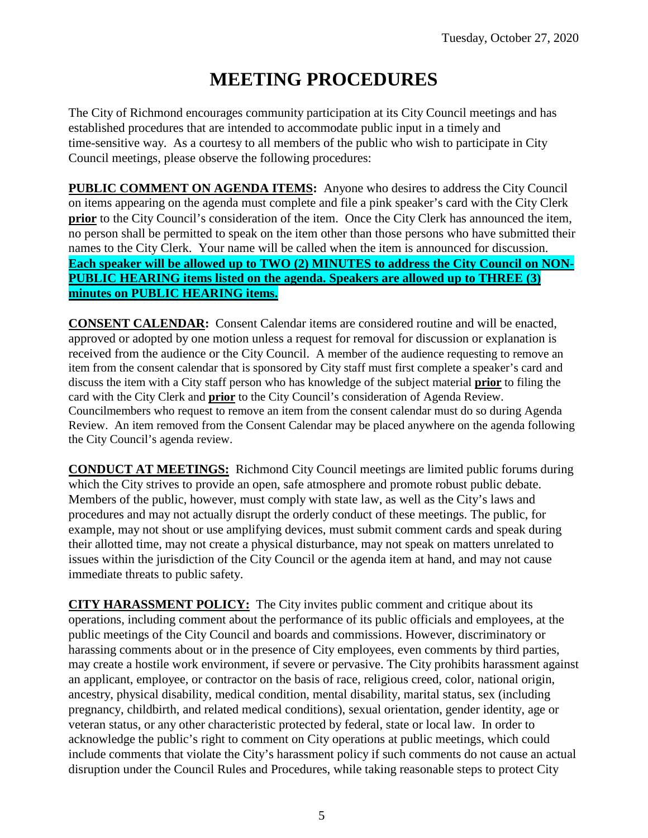# **MEETING PROCEDURES**

The City of Richmond encourages community participation at its City Council meetings and has established procedures that are intended to accommodate public input in a timely and time-sensitive way. As a courtesy to all members of the public who wish to participate in City Council meetings, please observe the following procedures:

**PUBLIC COMMENT ON AGENDA ITEMS:** Anyone who desires to address the City Council on items appearing on the agenda must complete and file a pink speaker's card with the City Clerk **prior** to the City Council's consideration of the item. Once the City Clerk has announced the item, no person shall be permitted to speak on the item other than those persons who have submitted their names to the City Clerk. Your name will be called when the item is announced for discussion. **Each speaker will be allowed up to TWO (2) MINUTES to address the City Council on NON-PUBLIC HEARING items listed on the agenda. Speakers are allowed up to THREE (3) minutes on PUBLIC HEARING items.**

**CONSENT CALENDAR:** Consent Calendar items are considered routine and will be enacted, approved or adopted by one motion unless a request for removal for discussion or explanation is received from the audience or the City Council. A member of the audience requesting to remove an item from the consent calendar that is sponsored by City staff must first complete a speaker's card and discuss the item with a City staff person who has knowledge of the subject material **prior** to filing the card with the City Clerk and **prior** to the City Council's consideration of Agenda Review. Councilmembers who request to remove an item from the consent calendar must do so during Agenda Review. An item removed from the Consent Calendar may be placed anywhere on the agenda following the City Council's agenda review.

**CONDUCT AT MEETINGS:** Richmond City Council meetings are limited public forums during which the City strives to provide an open, safe atmosphere and promote robust public debate. Members of the public, however, must comply with state law, as well as the City's laws and procedures and may not actually disrupt the orderly conduct of these meetings. The public, for example, may not shout or use amplifying devices, must submit comment cards and speak during their allotted time, may not create a physical disturbance, may not speak on matters unrelated to issues within the jurisdiction of the City Council or the agenda item at hand, and may not cause immediate threats to public safety.

**CITY HARASSMENT POLICY:** The City invites public comment and critique about its operations, including comment about the performance of its public officials and employees, at the public meetings of the City Council and boards and commissions. However, discriminatory or harassing comments about or in the presence of City employees, even comments by third parties, may create a hostile work environment, if severe or pervasive. The City prohibits harassment against an applicant, employee, or contractor on the basis of race, religious creed, color, national origin, ancestry, physical disability, medical condition, mental disability, marital status, sex (including pregnancy, childbirth, and related medical conditions), sexual orientation, gender identity, age or veteran status, or any other characteristic protected by federal, state or local law. In order to acknowledge the public's right to comment on City operations at public meetings, which could include comments that violate the City's harassment policy if such comments do not cause an actual disruption under the Council Rules and Procedures, while taking reasonable steps to protect City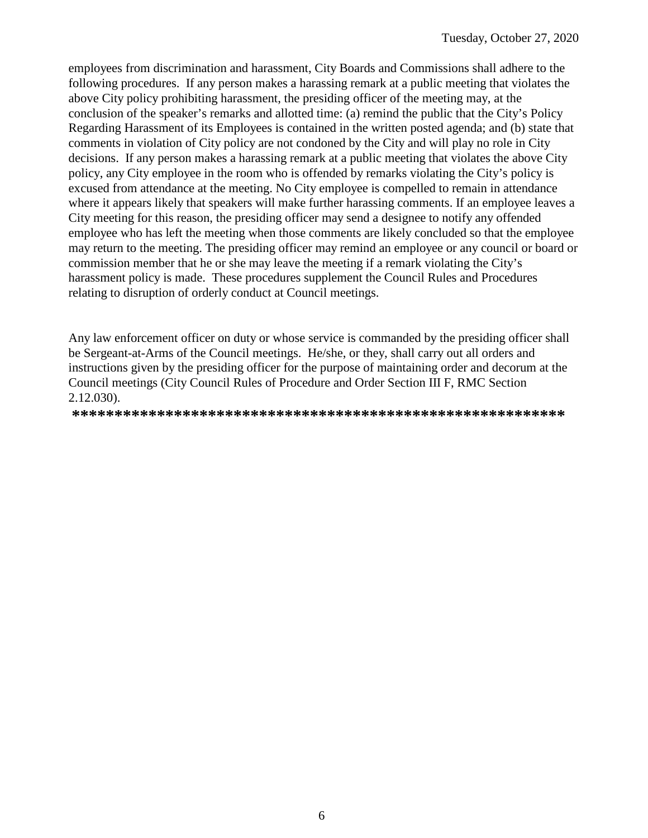employees from discrimination and harassment, City Boards and Commissions shall adhere to the following procedures. If any person makes a harassing remark at a public meeting that violates the above City policy prohibiting harassment, the presiding officer of the meeting may, at the conclusion of the speaker's remarks and allotted time: (a) remind the public that the City's Policy Regarding Harassment of its Employees is contained in the written posted agenda; and (b) state that comments in violation of City policy are not condoned by the City and will play no role in City decisions. If any person makes a harassing remark at a public meeting that violates the above City policy, any City employee in the room who is offended by remarks violating the City's policy is excused from attendance at the meeting. No City employee is compelled to remain in attendance where it appears likely that speakers will make further harassing comments. If an employee leaves a City meeting for this reason, the presiding officer may send a designee to notify any offended employee who has left the meeting when those comments are likely concluded so that the employee may return to the meeting. The presiding officer may remind an employee or any council or board or commission member that he or she may leave the meeting if a remark violating the City's harassment policy is made. These procedures supplement the Council Rules and Procedures relating to disruption of orderly conduct at Council meetings.

Any law enforcement officer on duty or whose service is commanded by the presiding officer shall be Sergeant-at-Arms of the Council meetings. He/she, or they, shall carry out all orders and instructions given by the presiding officer for the purpose of maintaining order and decorum at the Council meetings (City Council Rules of Procedure and Order Section III F, RMC Section 2.12.030).

**\*\*\*\*\*\*\*\*\*\*\*\*\*\*\*\*\*\*\*\*\*\*\*\*\*\*\*\*\*\*\*\*\*\*\*\*\*\*\*\*\*\*\*\*\*\*\*\*\*\*\*\*\*\*\*\*\*\***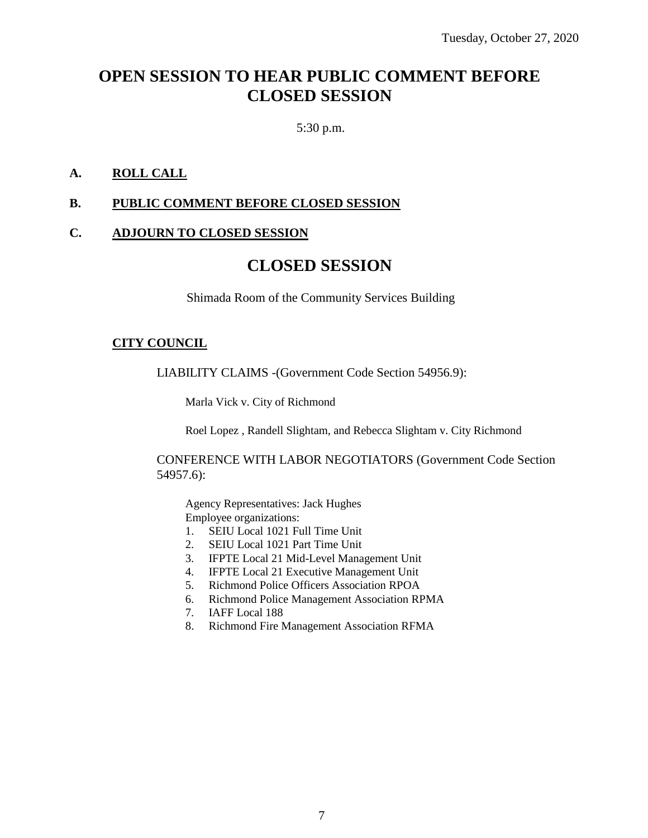# **OPEN SESSION TO HEAR PUBLIC COMMENT BEFORE CLOSED SESSION**

5:30 p.m.

## **A. ROLL CALL**

# **B. PUBLIC COMMENT BEFORE CLOSED SESSION**

#### **C. ADJOURN TO CLOSED SESSION**

# **CLOSED SESSION**

Shimada Room of the Community Services Building

#### **CITY COUNCIL**

LIABILITY CLAIMS -(Government Code Section 54956.9):

Marla Vick v. City of Richmond

Roel Lopez , Randell Slightam, and Rebecca Slightam v. City Richmond

CONFERENCE WITH LABOR NEGOTIATORS (Government Code Section 54957.6):

Agency Representatives: Jack Hughes Employee organizations:

- 1. SEIU Local 1021 Full Time Unit
- 2. SEIU Local 1021 Part Time Unit
- 3. IFPTE Local 21 Mid-Level Management Unit
- 4. IFPTE Local 21 Executive Management Unit
- 5. Richmond Police Officers Association RPOA
- 6. Richmond Police Management Association RPMA
- 7. IAFF Local 188
- 8. Richmond Fire Management Association RFMA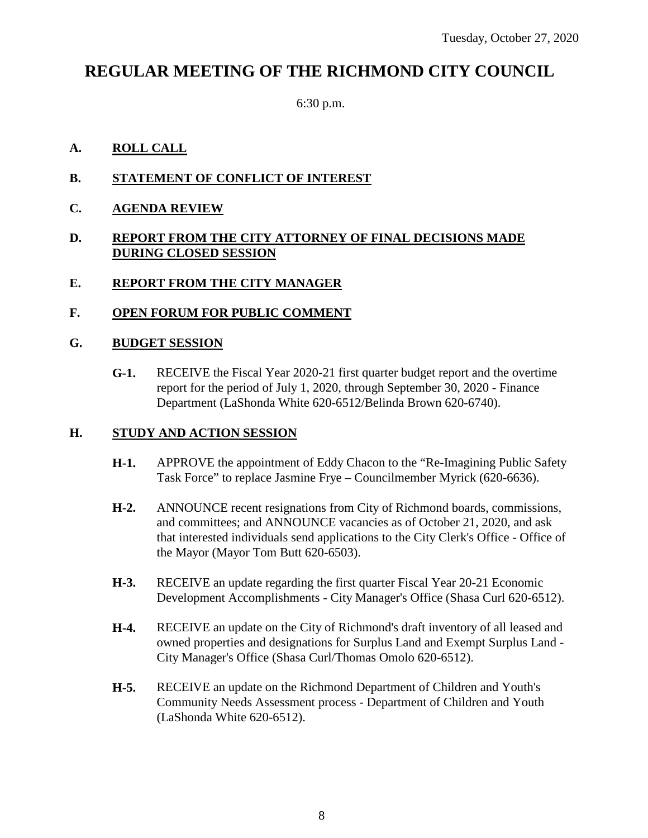# **REGULAR MEETING OF THE RICHMOND CITY COUNCIL**

6:30 p.m.

# **A. ROLL CALL**

- **B. STATEMENT OF CONFLICT OF INTEREST**
- **C. AGENDA REVIEW**

#### **D. REPORT FROM THE CITY ATTORNEY OF FINAL DECISIONS MADE DURING CLOSED SESSION**

## **E. REPORT FROM THE CITY MANAGER**

## **F. OPEN FORUM FOR PUBLIC COMMENT**

#### **G. BUDGET SESSION**

**G-1.** RECEIVE the Fiscal Year 2020-21 first quarter budget report and the overtime report for the period of July 1, 2020, through September 30, 2020 - Finance Department (LaShonda White 620-6512/Belinda Brown 620-6740).

#### **H. STUDY AND ACTION SESSION**

- **H-1.** APPROVE the appointment of Eddy Chacon to the "Re-Imagining Public Safety Task Force" to replace Jasmine Frye – Councilmember Myrick (620-6636).
- **H-2.** ANNOUNCE recent resignations from City of Richmond boards, commissions, and committees; and ANNOUNCE vacancies as of October 21, 2020, and ask that interested individuals send applications to the City Clerk's Office - Office of the Mayor (Mayor Tom Butt 620-6503).
- **H-3.** RECEIVE an update regarding the first quarter Fiscal Year 20-21 Economic Development Accomplishments - City Manager's Office (Shasa Curl 620-6512).
- **H-4.** RECEIVE an update on the City of Richmond's draft inventory of all leased and owned properties and designations for Surplus Land and Exempt Surplus Land - City Manager's Office (Shasa Curl/Thomas Omolo 620-6512).
- **H-5.** RECEIVE an update on the Richmond Department of Children and Youth's Community Needs Assessment process - Department of Children and Youth (LaShonda White 620-6512).